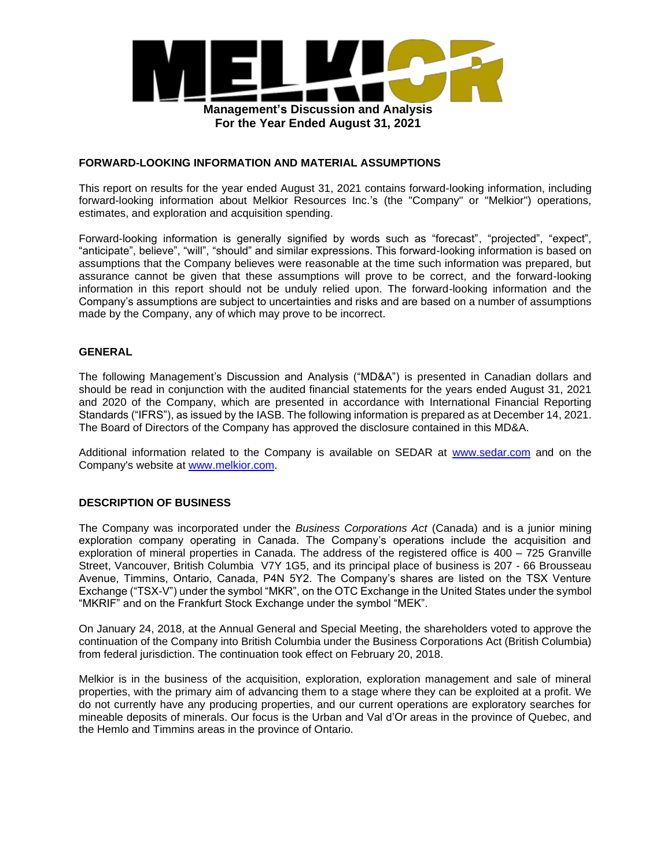

### **FORWARD-LOOKING INFORMATION AND MATERIAL ASSUMPTIONS**

This report on results for the year ended August 31, 2021 contains forward-looking information, including forward-looking information about Melkior Resources Inc.'s (the "Company" or "Melkior") operations, estimates, and exploration and acquisition spending.

Forward-looking information is generally signified by words such as "forecast", "projected", "expect", "anticipate", believe", "will", "should" and similar expressions. This forward-looking information is based on assumptions that the Company believes were reasonable at the time such information was prepared, but assurance cannot be given that these assumptions will prove to be correct, and the forward-looking information in this report should not be unduly relied upon. The forward-looking information and the Company's assumptions are subject to uncertainties and risks and are based on a number of assumptions made by the Company, any of which may prove to be incorrect.

## **GENERAL**

The following Management's Discussion and Analysis ("MD&A") is presented in Canadian dollars and should be read in conjunction with the audited financial statements for the years ended August 31, 2021 and 2020 of the Company, which are presented in accordance with International Financial Reporting Standards ("IFRS"), as issued by the IASB. The following information is prepared as at December 14, 2021. The Board of Directors of the Company has approved the disclosure contained in this MD&A.

Additional information related to the Company is available on SEDAR at www.sedar.com and on the Company's website at www.melkior.com.

### **DESCRIPTION OF BUSINESS**

The Company was incorporated under the *Business Corporations Act* (Canada) and is a junior mining exploration company operating in Canada. The Company's operations include the acquisition and exploration of mineral properties in Canada. The address of the registered office is 400 – 725 Granville Street, Vancouver, British Columbia V7Y 1G5, and its principal place of business is 207 - 66 Brousseau Avenue, Timmins, Ontario, Canada, P4N 5Y2. The Company's shares are listed on the TSX Venture Exchange ("TSX-V") under the symbol "MKR", on the OTC Exchange in the United States under the symbol "MKRIF" and on the Frankfurt Stock Exchange under the symbol "MEK".

On January 24, 2018, at the Annual General and Special Meeting, the shareholders voted to approve the continuation of the Company into British Columbia under the Business Corporations Act (British Columbia) from federal jurisdiction. The continuation took effect on February 20, 2018.

Melkior is in the business of the acquisition, exploration, exploration management and sale of mineral properties, with the primary aim of advancing them to a stage where they can be exploited at a profit. We do not currently have any producing properties, and our current operations are exploratory searches for mineable deposits of minerals. Our focus is the Urban and Val d'Or areas in the province of Quebec, and the Hemlo and Timmins areas in the province of Ontario.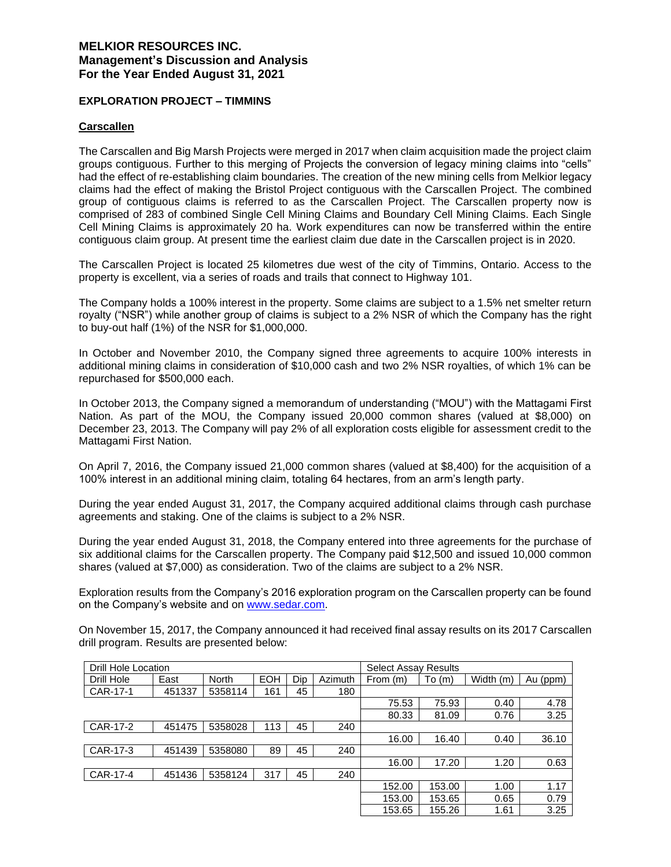### **EXPLORATION PROJECT – TIMMINS**

### **Carscallen**

The Carscallen and Big Marsh Projects were merged in 2017 when claim acquisition made the project claim groups contiguous. Further to this merging of Projects the conversion of legacy mining claims into "cells" had the effect of re-establishing claim boundaries. The creation of the new mining cells from Melkior legacy claims had the effect of making the Bristol Project contiguous with the Carscallen Project. The combined group of contiguous claims is referred to as the Carscallen Project. The Carscallen property now is comprised of 283 of combined Single Cell Mining Claims and Boundary Cell Mining Claims. Each Single Cell Mining Claims is approximately 20 ha. Work expenditures can now be transferred within the entire contiguous claim group. At present time the earliest claim due date in the Carscallen project is in 2020.

The Carscallen Project is located 25 kilometres due west of the city of Timmins, Ontario. Access to the property is excellent, via a series of roads and trails that connect to Highway 101.

The Company holds a 100% interest in the property. Some claims are subject to a 1.5% net smelter return royalty ("NSR") while another group of claims is subject to a 2% NSR of which the Company has the right to buy-out half (1%) of the NSR for \$1,000,000.

In October and November 2010, the Company signed three agreements to acquire 100% interests in additional mining claims in consideration of \$10,000 cash and two 2% NSR royalties, of which 1% can be repurchased for \$500,000 each.

In October 2013, the Company signed a memorandum of understanding ("MOU") with the Mattagami First Nation. As part of the MOU, the Company issued 20,000 common shares (valued at \$8,000) on December 23, 2013. The Company will pay 2% of all exploration costs eligible for assessment credit to the Mattagami First Nation.

On April 7, 2016, the Company issued 21,000 common shares (valued at \$8,400) for the acquisition of a 100% interest in an additional mining claim, totaling 64 hectares, from an arm's length party.

During the year ended August 31, 2017, the Company acquired additional claims through cash purchase agreements and staking. One of the claims is subject to a 2% NSR.

During the year ended August 31, 2018, the Company entered into three agreements for the purchase of six additional claims for the Carscallen property. The Company paid \$12,500 and issued 10,000 common shares (valued at \$7,000) as consideration. Two of the claims are subject to a 2% NSR.

Exploration results from the Company's 2016 exploration program on the Carscallen property can be found on the Company's website and on www.sedar.com.

On November 15, 2017, the Company announced it had received final assay results on its 2017 Carscallen drill program. Results are presented below:

| Drill Hole Location |        |              |            |     | <b>Select Assay Results</b> |          |        |           |          |
|---------------------|--------|--------------|------------|-----|-----------------------------|----------|--------|-----------|----------|
| Drill Hole          | East   | <b>North</b> | <b>EOH</b> | Dip | Azimuth                     | From (m) | To(m)  | Width (m) | Au (ppm) |
| CAR-17-1            | 451337 | 5358114      | 161        | 45  | 180                         |          |        |           |          |
|                     |        |              |            |     |                             | 75.53    | 75.93  | 0.40      | 4.78     |
|                     |        |              |            |     |                             | 80.33    | 81.09  | 0.76      | 3.25     |
| CAR-17-2            | 451475 | 5358028      | 113        | 45  | 240                         |          |        |           |          |
|                     |        |              |            |     |                             | 16.00    | 16.40  | 0.40      | 36.10    |
| CAR-17-3            | 451439 | 5358080      | 89         | 45  | 240                         |          |        |           |          |
|                     |        |              |            |     |                             | 16.00    | 17.20  | 1.20      | 0.63     |
| CAR-17-4            | 451436 | 5358124      | 317        | 45  | 240                         |          |        |           |          |
|                     |        |              |            |     |                             | 152.00   | 153.00 | 1.00      | 1.17     |
|                     |        |              |            |     |                             | 153.00   | 153.65 | 0.65      | 0.79     |
|                     |        |              |            |     |                             | 153.65   | 155.26 | 1.61      | 3.25     |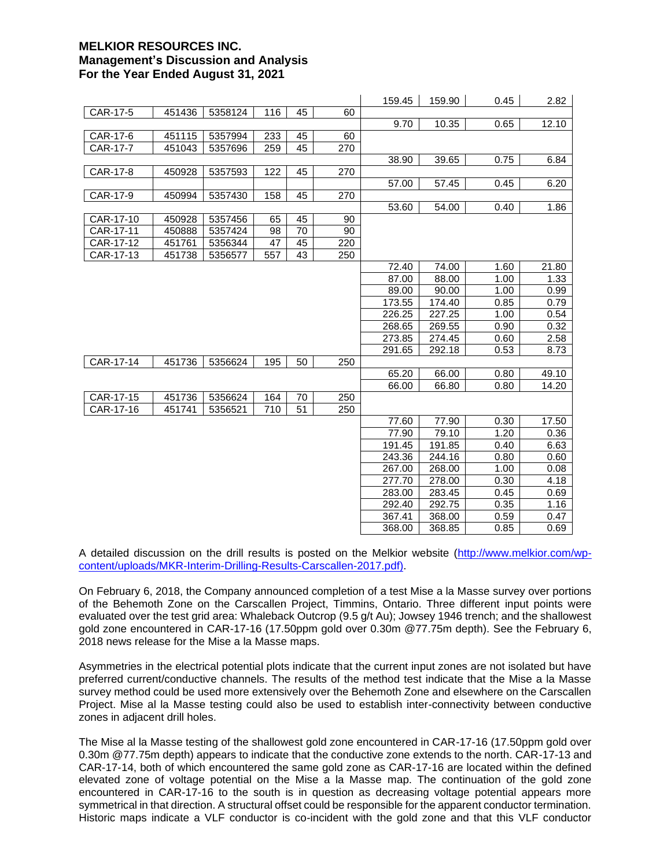|           |        |         |     |    |     | 159.45 | 159.90 | 0.45 | 2.82  |
|-----------|--------|---------|-----|----|-----|--------|--------|------|-------|
| CAR-17-5  | 451436 | 5358124 | 116 | 45 | 60  |        |        |      |       |
|           |        |         |     |    |     | 9.70   | 10.35  | 0.65 | 12.10 |
| CAR-17-6  | 451115 | 5357994 | 233 | 45 | 60  |        |        |      |       |
| CAR-17-7  | 451043 | 5357696 | 259 | 45 | 270 |        |        |      |       |
|           |        |         |     |    |     | 38.90  | 39.65  | 0.75 | 6.84  |
| CAR-17-8  | 450928 | 5357593 | 122 | 45 | 270 |        |        |      |       |
|           |        |         |     |    |     | 57.00  | 57.45  | 0.45 | 6.20  |
| CAR-17-9  | 450994 | 5357430 | 158 | 45 | 270 |        |        |      |       |
|           |        |         |     |    |     | 53.60  | 54.00  | 0.40 | 1.86  |
| CAR-17-10 | 450928 | 5357456 | 65  | 45 | 90  |        |        |      |       |
| CAR-17-11 | 450888 | 5357424 | 98  | 70 | 90  |        |        |      |       |
| CAR-17-12 | 451761 | 5356344 | 47  | 45 | 220 |        |        |      |       |
| CAR-17-13 | 451738 | 5356577 | 557 | 43 | 250 |        |        |      |       |
|           |        |         |     |    |     | 72.40  | 74.00  | 1.60 | 21.80 |
|           |        |         |     |    |     | 87.00  | 88.00  | 1.00 | 1.33  |
|           |        |         |     |    |     | 89.00  | 90.00  | 1.00 | 0.99  |
|           |        |         |     |    |     | 173.55 | 174.40 | 0.85 | 0.79  |
|           |        |         |     |    |     | 226.25 | 227.25 | 1.00 | 0.54  |
|           |        |         |     |    |     | 268.65 | 269.55 | 0.90 | 0.32  |
|           |        |         |     |    |     | 273.85 | 274.45 | 0.60 | 2.58  |
|           |        |         |     |    |     | 291.65 | 292.18 | 0.53 | 8.73  |
| CAR-17-14 | 451736 | 5356624 | 195 | 50 | 250 |        |        |      |       |
|           |        |         |     |    |     | 65.20  | 66.00  | 0.80 | 49.10 |
|           |        |         |     |    |     | 66.00  | 66.80  | 0.80 | 14.20 |
| CAR-17-15 | 451736 | 5356624 | 164 | 70 | 250 |        |        |      |       |
| CAR-17-16 | 451741 | 5356521 | 710 | 51 | 250 |        |        |      |       |
|           |        |         |     |    |     | 77.60  | 77.90  | 0.30 | 17.50 |
|           |        |         |     |    |     | 77.90  | 79.10  | 1.20 | 0.36  |
|           |        |         |     |    |     | 191.45 | 191.85 | 0.40 | 6.63  |
|           |        |         |     |    |     | 243.36 | 244.16 | 0.80 | 0.60  |
|           |        |         |     |    |     | 267.00 | 268.00 | 1.00 | 0.08  |
|           |        |         |     |    |     | 277.70 | 278.00 | 0.30 | 4.18  |
|           |        |         |     |    |     | 283.00 | 283.45 | 0.45 | 0.69  |
|           |        |         |     |    |     | 292.40 | 292.75 | 0.35 | 1.16  |
|           |        |         |     |    |     | 367.41 | 368.00 | 0.59 | 0.47  |
|           |        |         |     |    |     | 368.00 | 368.85 | 0.85 | 0.69  |

A detailed discussion on the drill results is posted on the Melkior website (http://www.melkior.com/wpcontent/uploads/MKR-Interim-Drilling-Results-Carscallen-2017.pdf).

On February 6, 2018, the Company announced completion of a test Mise a la Masse survey over portions of the Behemoth Zone on the Carscallen Project, Timmins, Ontario. Three different input points were evaluated over the test grid area: Whaleback Outcrop (9.5 g/t Au); Jowsey 1946 trench; and the shallowest gold zone encountered in CAR-17-16 (17.50ppm gold over 0.30m @77.75m depth). See the February 6, 2018 news release for the Mise a la Masse maps.

Asymmetries in the electrical potential plots indicate that the current input zones are not isolated but have preferred current/conductive channels. The results of the method test indicate that the Mise a la Masse survey method could be used more extensively over the Behemoth Zone and elsewhere on the Carscallen Project. Mise al la Masse testing could also be used to establish inter-connectivity between conductive zones in adjacent drill holes.

The Mise al la Masse testing of the shallowest gold zone encountered in CAR-17-16 (17.50ppm gold over 0.30m @77.75m depth) appears to indicate that the conductive zone extends to the north. CAR-17-13 and CAR-17-14, both of which encountered the same gold zone as CAR-17-16 are located within the defined elevated zone of voltage potential on the Mise a la Masse map. The continuation of the gold zone encountered in CAR-17-16 to the south is in question as decreasing voltage potential appears more symmetrical in that direction. A structural offset could be responsible for the apparent conductor termination. Historic maps indicate a VLF conductor is co-incident with the gold zone and that this VLF conductor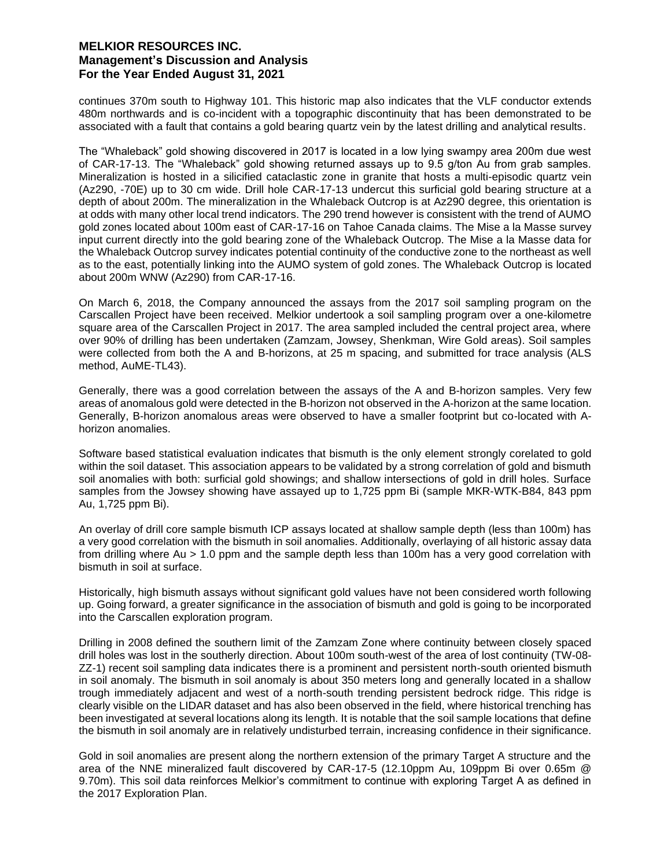continues 370m south to Highway 101. This historic map also indicates that the VLF conductor extends 480m northwards and is co-incident with a topographic discontinuity that has been demonstrated to be associated with a fault that contains a gold bearing quartz vein by the latest drilling and analytical results.

The "Whaleback" gold showing discovered in 2017 is located in a low lying swampy area 200m due west of CAR-17-13. The "Whaleback" gold showing returned assays up to 9.5 g/ton Au from grab samples. Mineralization is hosted in a silicified cataclastic zone in granite that hosts a multi-episodic quartz vein (Az290, -70E) up to 30 cm wide. Drill hole CAR-17-13 undercut this surficial gold bearing structure at a depth of about 200m. The mineralization in the Whaleback Outcrop is at Az290 degree, this orientation is at odds with many other local trend indicators. The 290 trend however is consistent with the trend of AUMO gold zones located about 100m east of CAR-17-16 on Tahoe Canada claims. The Mise a la Masse survey input current directly into the gold bearing zone of the Whaleback Outcrop. The Mise a la Masse data for the Whaleback Outcrop survey indicates potential continuity of the conductive zone to the northeast as well as to the east, potentially linking into the AUMO system of gold zones. The Whaleback Outcrop is located about 200m WNW (Az290) from CAR-17-16.

On March 6, 2018, the Company announced the assays from the 2017 soil sampling program on the Carscallen Project have been received. Melkior undertook a soil sampling program over a one-kilometre square area of the Carscallen Project in 2017. The area sampled included the central project area, where over 90% of drilling has been undertaken (Zamzam, Jowsey, Shenkman, Wire Gold areas). Soil samples were collected from both the A and B-horizons, at 25 m spacing, and submitted for trace analysis (ALS method, AuME-TL43).

Generally, there was a good correlation between the assays of the A and B-horizon samples. Very few areas of anomalous gold were detected in the B-horizon not observed in the A-horizon at the same location. Generally, B-horizon anomalous areas were observed to have a smaller footprint but co-located with Ahorizon anomalies.

Software based statistical evaluation indicates that bismuth is the only element strongly corelated to gold within the soil dataset. This association appears to be validated by a strong correlation of gold and bismuth soil anomalies with both: surficial gold showings; and shallow intersections of gold in drill holes. Surface samples from the Jowsey showing have assayed up to 1,725 ppm Bi (sample MKR-WTK-B84, 843 ppm Au, 1,725 ppm Bi).

An overlay of drill core sample bismuth ICP assays located at shallow sample depth (less than 100m) has a very good correlation with the bismuth in soil anomalies. Additionally, overlaying of all historic assay data from drilling where Au > 1.0 ppm and the sample depth less than 100m has a very good correlation with bismuth in soil at surface.

Historically, high bismuth assays without significant gold values have not been considered worth following up. Going forward, a greater significance in the association of bismuth and gold is going to be incorporated into the Carscallen exploration program.

Drilling in 2008 defined the southern limit of the Zamzam Zone where continuity between closely spaced drill holes was lost in the southerly direction. About 100m south-west of the area of lost continuity (TW-08- ZZ-1) recent soil sampling data indicates there is a prominent and persistent north-south oriented bismuth in soil anomaly. The bismuth in soil anomaly is about 350 meters long and generally located in a shallow trough immediately adjacent and west of a north-south trending persistent bedrock ridge. This ridge is clearly visible on the LIDAR dataset and has also been observed in the field, where historical trenching has been investigated at several locations along its length. It is notable that the soil sample locations that define the bismuth in soil anomaly are in relatively undisturbed terrain, increasing confidence in their significance.

Gold in soil anomalies are present along the northern extension of the primary Target A structure and the area of the NNE mineralized fault discovered by CAR-17-5 (12.10ppm Au, 109ppm Bi over 0.65m @ 9.70m). This soil data reinforces Melkior's commitment to continue with exploring Target A as defined in the 2017 Exploration Plan.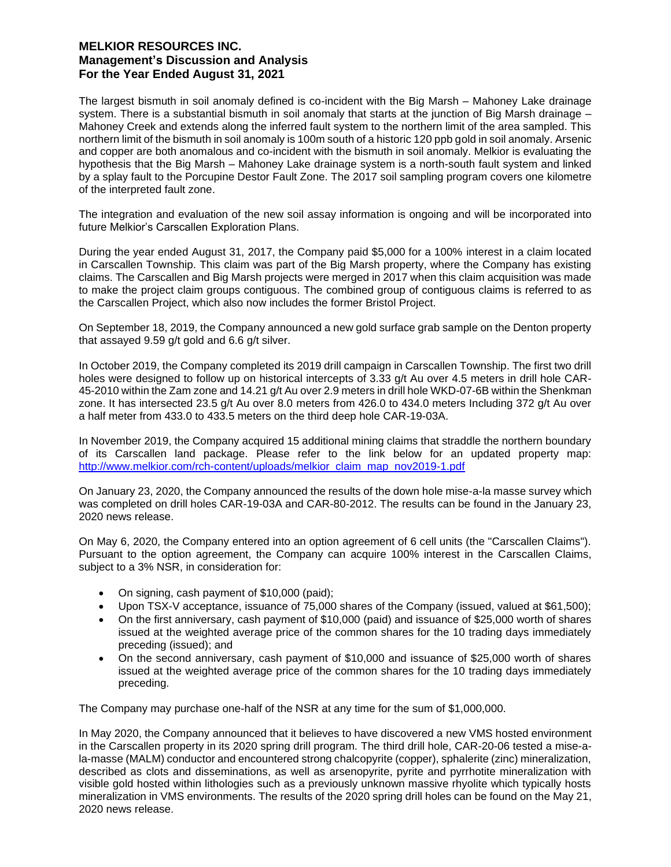The largest bismuth in soil anomaly defined is co-incident with the Big Marsh – Mahoney Lake drainage system. There is a substantial bismuth in soil anomaly that starts at the junction of Big Marsh drainage – Mahoney Creek and extends along the inferred fault system to the northern limit of the area sampled. This northern limit of the bismuth in soil anomaly is 100m south of a historic 120 ppb gold in soil anomaly. Arsenic and copper are both anomalous and co-incident with the bismuth in soil anomaly. Melkior is evaluating the hypothesis that the Big Marsh – Mahoney Lake drainage system is a north-south fault system and linked by a splay fault to the Porcupine Destor Fault Zone. The 2017 soil sampling program covers one kilometre of the interpreted fault zone.

The integration and evaluation of the new soil assay information is ongoing and will be incorporated into future Melkior's Carscallen Exploration Plans.

During the year ended August 31, 2017, the Company paid \$5,000 for a 100% interest in a claim located in Carscallen Township. This claim was part of the Big Marsh property, where the Company has existing claims. The Carscallen and Big Marsh projects were merged in 2017 when this claim acquisition was made to make the project claim groups contiguous. The combined group of contiguous claims is referred to as the Carscallen Project, which also now includes the former Bristol Project.

On September 18, 2019, the Company announced a new gold surface grab sample on the Denton property that assayed 9.59 g/t gold and 6.6 g/t silver.

In October 2019, the Company completed its 2019 drill campaign in Carscallen Township. The first two drill holes were designed to follow up on historical intercepts of 3.33 g/t Au over 4.5 meters in drill hole CAR-45-2010 within the Zam zone and 14.21 g/t Au over 2.9 meters in drill hole WKD-07-6B within the Shenkman zone. It has intersected 23.5 g/t Au over 8.0 meters from 426.0 to 434.0 meters Including 372 g/t Au over a half meter from 433.0 to 433.5 meters on the third deep hole CAR-19-03A.

In November 2019, the Company acquired 15 additional mining claims that straddle the northern boundary of its Carscallen land package. Please refer to the link below for an updated property map: http://www.melkior.com/rch-content/uploads/melkior\_claim\_map\_nov2019-1.pdf

On January 23, 2020, the Company announced the results of the down hole mise-a-la masse survey which was completed on drill holes CAR-19-03A and CAR-80-2012. The results can be found in the January 23, 2020 news release.

On May 6, 2020, the Company entered into an option agreement of 6 cell units (the "Carscallen Claims"). Pursuant to the option agreement, the Company can acquire 100% interest in the Carscallen Claims, subject to a 3% NSR, in consideration for:

- On signing, cash payment of \$10,000 (paid);
- Upon TSX-V acceptance, issuance of 75,000 shares of the Company (issued, valued at \$61,500);
- On the first anniversary, cash payment of \$10,000 (paid) and issuance of \$25,000 worth of shares issued at the weighted average price of the common shares for the 10 trading days immediately preceding (issued); and
- On the second anniversary, cash payment of \$10,000 and issuance of \$25,000 worth of shares issued at the weighted average price of the common shares for the 10 trading days immediately preceding.

The Company may purchase one-half of the NSR at any time for the sum of \$1,000,000.

In May 2020, the Company announced that it believes to have discovered a new VMS hosted environment in the Carscallen property in its 2020 spring drill program. The third drill hole, CAR-20-06 tested a mise-ala-masse (MALM) conductor and encountered strong chalcopyrite (copper), sphalerite (zinc) mineralization, described as clots and disseminations, as well as arsenopyrite, pyrite and pyrrhotite mineralization with visible gold hosted within lithologies such as a previously unknown massive rhyolite which typically hosts mineralization in VMS environments. The results of the 2020 spring drill holes can be found on the May 21, 2020 news release.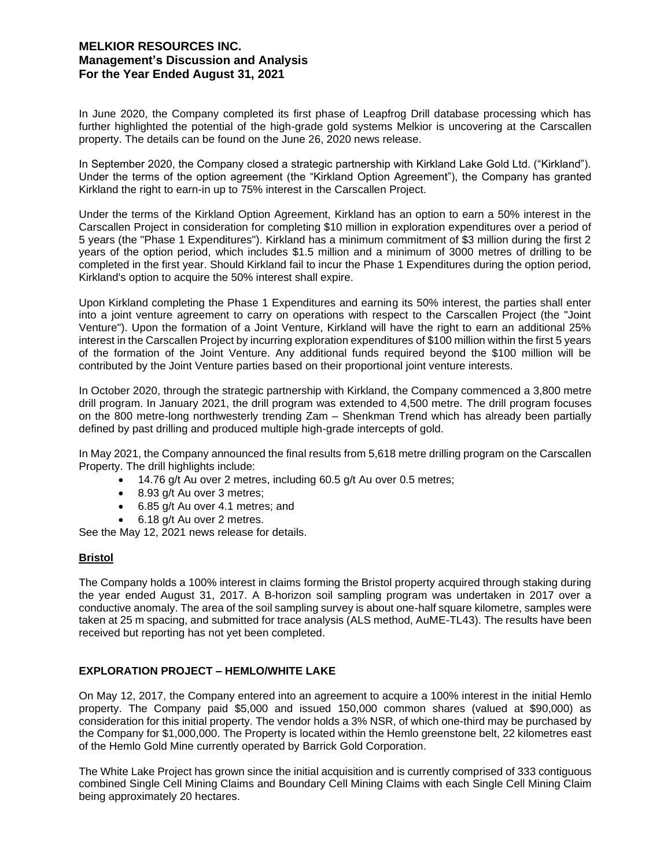In June 2020, the Company completed its first phase of Leapfrog Drill database processing which has further highlighted the potential of the high-grade gold systems Melkior is uncovering at the Carscallen property. The details can be found on the June 26, 2020 news release.

In September 2020, the Company closed a strategic partnership with Kirkland Lake Gold Ltd. ("Kirkland"). Under the terms of the option agreement (the "Kirkland Option Agreement"), the Company has granted Kirkland the right to earn-in up to 75% interest in the Carscallen Project.

Under the terms of the Kirkland Option Agreement, Kirkland has an option to earn a 50% interest in the Carscallen Project in consideration for completing \$10 million in exploration expenditures over a period of 5 years (the "Phase 1 Expenditures"). Kirkland has a minimum commitment of \$3 million during the first 2 years of the option period, which includes \$1.5 million and a minimum of 3000 metres of drilling to be completed in the first year. Should Kirkland fail to incur the Phase 1 Expenditures during the option period, Kirkland's option to acquire the 50% interest shall expire.

Upon Kirkland completing the Phase 1 Expenditures and earning its 50% interest, the parties shall enter into a joint venture agreement to carry on operations with respect to the Carscallen Project (the "Joint Venture"). Upon the formation of a Joint Venture, Kirkland will have the right to earn an additional 25% interest in the Carscallen Project by incurring exploration expenditures of \$100 million within the first 5 years of the formation of the Joint Venture. Any additional funds required beyond the \$100 million will be contributed by the Joint Venture parties based on their proportional joint venture interests.

In October 2020, through the strategic partnership with Kirkland, the Company commenced a 3,800 metre drill program. In January 2021, the drill program was extended to 4,500 metre. The drill program focuses on the 800 metre-long northwesterly trending Zam – Shenkman Trend which has already been partially defined by past drilling and produced multiple high-grade intercepts of gold.

In May 2021, the Company announced the final results from 5,618 metre drilling program on the Carscallen Property. The drill highlights include:

- $\bullet$  14.76 g/t Au over 2 metres, including 60.5 g/t Au over 0.5 metres;
- 8.93 g/t Au over 3 metres;
- 6.85 g/t Au over 4.1 metres; and
- 6.18 g/t Au over 2 metres.

See the May 12, 2021 news release for details.

## **Bristol**

The Company holds a 100% interest in claims forming the Bristol property acquired through staking during the year ended August 31, 2017. A B-horizon soil sampling program was undertaken in 2017 over a conductive anomaly. The area of the soil sampling survey is about one-half square kilometre, samples were taken at 25 m spacing, and submitted for trace analysis (ALS method, AuME-TL43). The results have been received but reporting has not yet been completed.

## **EXPLORATION PROJECT – HEMLO/WHITE LAKE**

On May 12, 2017, the Company entered into an agreement to acquire a 100% interest in the initial Hemlo property. The Company paid \$5,000 and issued 150,000 common shares (valued at \$90,000) as consideration for this initial property. The vendor holds a 3% NSR, of which one-third may be purchased by the Company for \$1,000,000. The Property is located within the Hemlo greenstone belt, 22 kilometres east of the Hemlo Gold Mine currently operated by Barrick Gold Corporation.

The White Lake Project has grown since the initial acquisition and is currently comprised of 333 contiguous combined Single Cell Mining Claims and Boundary Cell Mining Claims with each Single Cell Mining Claim being approximately 20 hectares.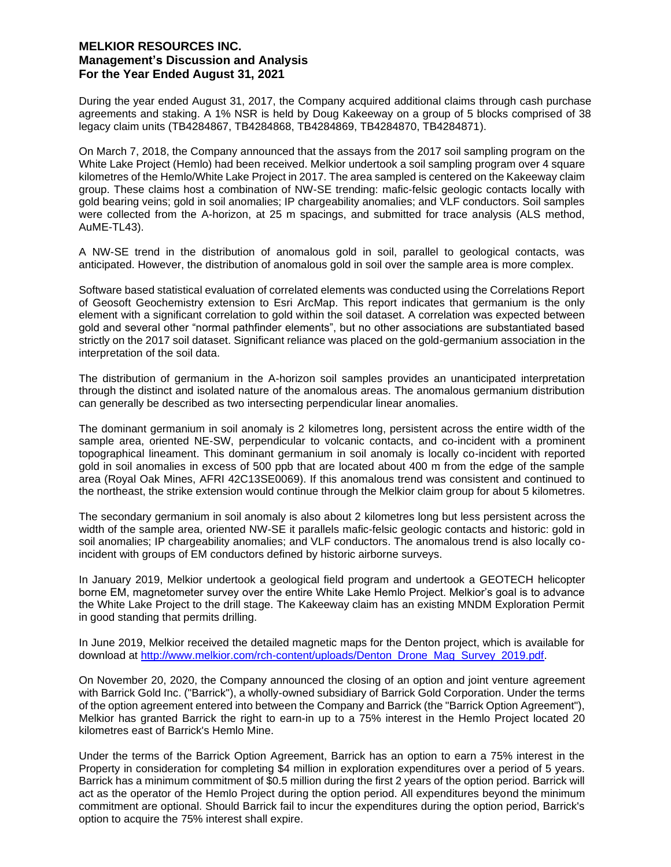During the year ended August 31, 2017, the Company acquired additional claims through cash purchase agreements and staking. A 1% NSR is held by Doug Kakeeway on a group of 5 blocks comprised of 38 legacy claim units (TB4284867, TB4284868, TB4284869, TB4284870, TB4284871).

On March 7, 2018, the Company announced that the assays from the 2017 soil sampling program on the White Lake Project (Hemlo) had been received. Melkior undertook a soil sampling program over 4 square kilometres of the Hemlo/White Lake Project in 2017. The area sampled is centered on the Kakeeway claim group. These claims host a combination of NW-SE trending: mafic-felsic geologic contacts locally with gold bearing veins; gold in soil anomalies; IP chargeability anomalies; and VLF conductors. Soil samples were collected from the A-horizon, at 25 m spacings, and submitted for trace analysis (ALS method, AuME-TL43).

A NW-SE trend in the distribution of anomalous gold in soil, parallel to geological contacts, was anticipated. However, the distribution of anomalous gold in soil over the sample area is more complex.

Software based statistical evaluation of correlated elements was conducted using the Correlations Report of Geosoft Geochemistry extension to Esri ArcMap. This report indicates that germanium is the only element with a significant correlation to gold within the soil dataset. A correlation was expected between gold and several other "normal pathfinder elements", but no other associations are substantiated based strictly on the 2017 soil dataset. Significant reliance was placed on the gold-germanium association in the interpretation of the soil data.

The distribution of germanium in the A-horizon soil samples provides an unanticipated interpretation through the distinct and isolated nature of the anomalous areas. The anomalous germanium distribution can generally be described as two intersecting perpendicular linear anomalies.

The dominant germanium in soil anomaly is 2 kilometres long, persistent across the entire width of the sample area, oriented NE-SW, perpendicular to volcanic contacts, and co-incident with a prominent topographical lineament. This dominant germanium in soil anomaly is locally co-incident with reported gold in soil anomalies in excess of 500 ppb that are located about 400 m from the edge of the sample area (Royal Oak Mines, AFRI 42C13SE0069). If this anomalous trend was consistent and continued to the northeast, the strike extension would continue through the Melkior claim group for about 5 kilometres.

The secondary germanium in soil anomaly is also about 2 kilometres long but less persistent across the width of the sample area, oriented NW-SE it parallels mafic-felsic geologic contacts and historic: gold in soil anomalies; IP chargeability anomalies; and VLF conductors. The anomalous trend is also locally coincident with groups of EM conductors defined by historic airborne surveys.

In January 2019, Melkior undertook a geological field program and undertook a GEOTECH helicopter borne EM, magnetometer survey over the entire White Lake Hemlo Project. Melkior's goal is to advance the White Lake Project to the drill stage. The Kakeeway claim has an existing MNDM Exploration Permit in good standing that permits drilling.

In June 2019, Melkior received the detailed magnetic maps for the Denton project, which is available for download at http://www.melkior.com/rch-content/uploads/Denton\_Drone\_Mag\_Survey\_2019.pdf.

On November 20, 2020, the Company announced the closing of an option and joint venture agreement with Barrick Gold Inc. ("Barrick"), a wholly-owned subsidiary of Barrick Gold Corporation. Under the terms of the option agreement entered into between the Company and Barrick (the "Barrick Option Agreement"), Melkior has granted Barrick the right to earn-in up to a 75% interest in the Hemlo Project located 20 kilometres east of Barrick's Hemlo Mine.

Under the terms of the Barrick Option Agreement, Barrick has an option to earn a 75% interest in the Property in consideration for completing \$4 million in exploration expenditures over a period of 5 years. Barrick has a minimum commitment of \$0.5 million during the first 2 years of the option period. Barrick will act as the operator of the Hemlo Project during the option period. All expenditures beyond the minimum commitment are optional. Should Barrick fail to incur the expenditures during the option period, Barrick's option to acquire the 75% interest shall expire.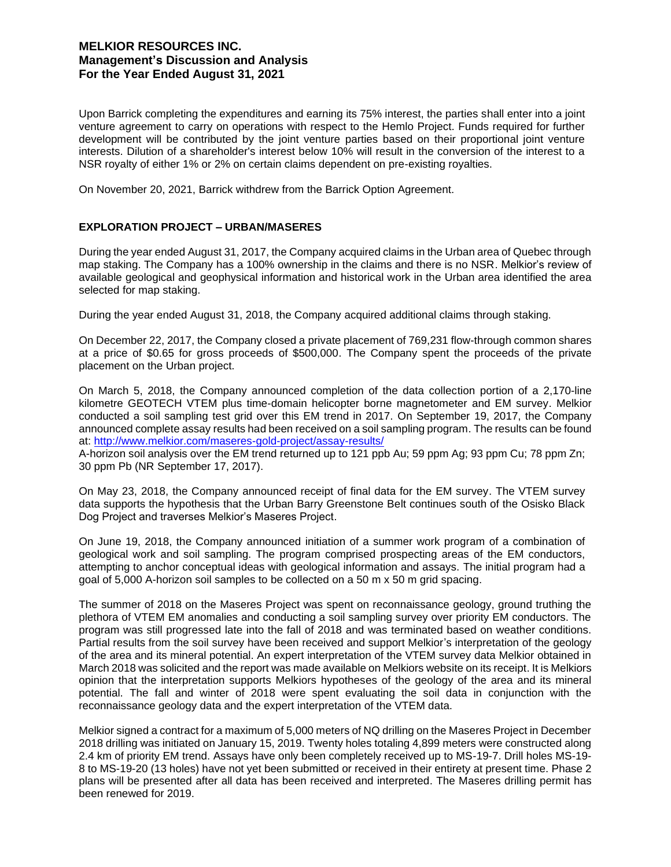Upon Barrick completing the expenditures and earning its 75% interest, the parties shall enter into a joint venture agreement to carry on operations with respect to the Hemlo Project. Funds required for further development will be contributed by the joint venture parties based on their proportional joint venture interests. Dilution of a shareholder's interest below 10% will result in the conversion of the interest to a NSR royalty of either 1% or 2% on certain claims dependent on pre-existing royalties.

On November 20, 2021, Barrick withdrew from the Barrick Option Agreement.

## **EXPLORATION PROJECT – URBAN/MASERES**

During the year ended August 31, 2017, the Company acquired claims in the Urban area of Quebec through map staking. The Company has a 100% ownership in the claims and there is no NSR. Melkior's review of available geological and geophysical information and historical work in the Urban area identified the area selected for map staking.

During the year ended August 31, 2018, the Company acquired additional claims through staking.

On December 22, 2017, the Company closed a private placement of 769,231 flow-through common shares at a price of \$0.65 for gross proceeds of \$500,000. The Company spent the proceeds of the private placement on the Urban project.

On March 5, 2018, the Company announced completion of the data collection portion of a 2,170-line kilometre GEOTECH VTEM plus time-domain helicopter borne magnetometer and EM survey. Melkior conducted a soil sampling test grid over this EM trend in 2017. On September 19, 2017, the Company announced complete assay results had been received on a soil sampling program. The results can be found at: http://www.melkior.com/maseres-gold-project/assay-results/

A-horizon soil analysis over the EM trend returned up to 121 ppb Au; 59 ppm Ag; 93 ppm Cu; 78 ppm Zn; 30 ppm Pb (NR September 17, 2017).

On May 23, 2018, the Company announced receipt of final data for the EM survey. The VTEM survey data supports the hypothesis that the Urban Barry Greenstone Belt continues south of the Osisko Black Dog Project and traverses Melkior's Maseres Project.

On June 19, 2018, the Company announced initiation of a summer work program of a combination of geological work and soil sampling. The program comprised prospecting areas of the EM conductors, attempting to anchor conceptual ideas with geological information and assays. The initial program had a goal of 5,000 A-horizon soil samples to be collected on a 50 m x 50 m grid spacing.

The summer of 2018 on the Maseres Project was spent on reconnaissance geology, ground truthing the plethora of VTEM EM anomalies and conducting a soil sampling survey over priority EM conductors. The program was still progressed late into the fall of 2018 and was terminated based on weather conditions. Partial results from the soil survey have been received and support Melkior's interpretation of the geology of the area and its mineral potential. An expert interpretation of the VTEM survey data Melkior obtained in March 2018 was solicited and the report was made available on Melkiors website on its receipt. It is Melkiors opinion that the interpretation supports Melkiors hypotheses of the geology of the area and its mineral potential. The fall and winter of 2018 were spent evaluating the soil data in conjunction with the reconnaissance geology data and the expert interpretation of the VTEM data.

Melkior signed a contract for a maximum of 5,000 meters of NQ drilling on the Maseres Project in December 2018 drilling was initiated on January 15, 2019. Twenty holes totaling 4,899 meters were constructed along 2.4 km of priority EM trend. Assays have only been completely received up to MS-19-7. Drill holes MS-19- 8 to MS-19-20 (13 holes) have not yet been submitted or received in their entirety at present time. Phase 2 plans will be presented after all data has been received and interpreted. The Maseres drilling permit has been renewed for 2019.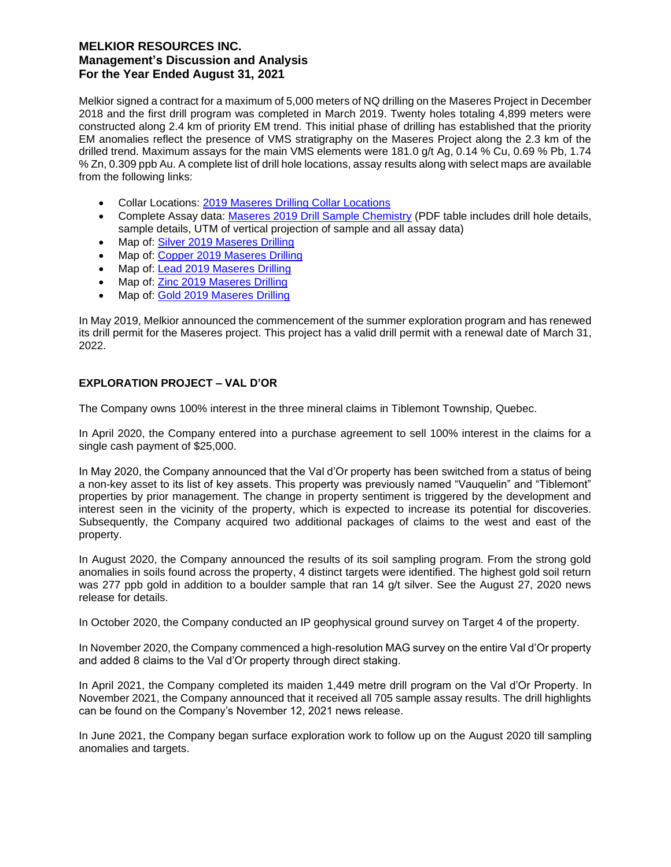Melkior signed a contract for a maximum of 5,000 meters of NQ drilling on the Maseres Project in December 2018 and the first drill program was completed in March 2019. Twenty holes totaling 4,899 meters were constructed along 2.4 km of priority EM trend. This initial phase of drilling has established that the priority EM anomalies reflect the presence of VMS stratigraphy on the Maseres Project along the 2.3 km of the drilled trend. Maximum assays for the main VMS elements were 181.0 g/t Ag, 0.14 % Cu, 0.69 % Pb, 1.74 % Zn, 0.309 ppb Au. A complete list of drill hole locations, assay results along with select maps are available from the following links:

- Collar Locations: 2019 Maseres Drilling Collar Locations
- Complete Assay data: Maseres 2019 Drill Sample Chemistry (PDF table includes drill hole details, sample details, UTM of vertical projection of sample and all assay data)
- Map of: Silver 2019 Maseres Drilling
- Map of: Copper 2019 Maseres Drilling
- Map of: Lead 2019 Maseres Drilling
- Map of: Zinc 2019 Maseres Drilling
- Map of: Gold 2019 Maseres Drilling

In May 2019, Melkior announced the commencement of the summer exploration program and has renewed its drill permit for the Maseres project. This project has a valid drill permit with a renewal date of March 31, 2022.

## **EXPLORATION PROJECT – VAL D'OR**

The Company owns 100% interest in the three mineral claims in Tiblemont Township, Quebec.

In April 2020, the Company entered into a purchase agreement to sell 100% interest in the claims for a single cash payment of \$25,000.

In May 2020, the Company announced that the Val d'Or property has been switched from a status of being a non-key asset to its list of key assets. This property was previously named "Vauquelin" and "Tiblemont" properties by prior management. The change in property sentiment is triggered by the development and interest seen in the vicinity of the property, which is expected to increase its potential for discoveries. Subsequently, the Company acquired two additional packages of claims to the west and east of the property.

In August 2020, the Company announced the results of its soil sampling program. From the strong gold anomalies in soils found across the property, 4 distinct targets were identified. The highest gold soil return was 277 ppb gold in addition to a boulder sample that ran 14 g/t silver. See the August 27, 2020 news release for details.

In October 2020, the Company conducted an IP geophysical ground survey on Target 4 of the property.

In November 2020, the Company commenced a high-resolution MAG survey on the entire Val d'Or property and added 8 claims to the Val d'Or property through direct staking.

In April 2021, the Company completed its maiden 1,449 metre drill program on the Val d'Or Property. In November 2021, the Company announced that it received all 705 sample assay results. The drill highlights can be found on the Company's November 12, 2021 news release.

In June 2021, the Company began surface exploration work to follow up on the August 2020 till sampling anomalies and targets.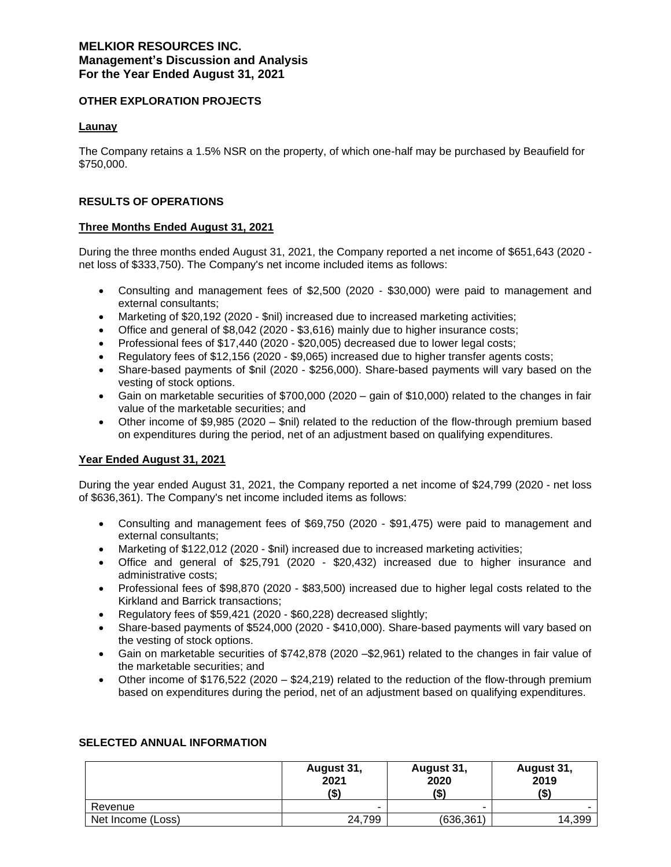## **OTHER EXPLORATION PROJECTS**

## **Launay**

The Company retains a 1.5% NSR on the property, of which one-half may be purchased by Beaufield for \$750,000.

## **RESULTS OF OPERATIONS**

### **Three Months Ended August 31, 2021**

During the three months ended August 31, 2021, the Company reported a net income of \$651,643 (2020 net loss of \$333,750). The Company's net income included items as follows:

- Consulting and management fees of \$2,500 (2020 \$30,000) were paid to management and external consultants;
- Marketing of \$20,192 (2020 \$nil) increased due to increased marketing activities;
- Office and general of \$8,042 (2020 \$3,616) mainly due to higher insurance costs;
- Professional fees of \$17,440 (2020 \$20,005) decreased due to lower legal costs;
- Regulatory fees of \$12,156 (2020 \$9,065) increased due to higher transfer agents costs;
- Share-based payments of \$nil (2020 \$256,000). Share-based payments will vary based on the vesting of stock options.
- Gain on marketable securities of \$700,000 (2020 gain of \$10,000) related to the changes in fair value of the marketable securities; and
- Other income of \$9,985 (2020 \$nil) related to the reduction of the flow-through premium based on expenditures during the period, net of an adjustment based on qualifying expenditures.

## **Year Ended August 31, 2021**

During the year ended August 31, 2021, the Company reported a net income of \$24,799 (2020 - net loss of \$636,361). The Company's net income included items as follows:

- Consulting and management fees of \$69,750 (2020 \$91,475) were paid to management and external consultants;
- Marketing of \$122,012 (2020 \$nil) increased due to increased marketing activities;
- Office and general of \$25,791 (2020 \$20,432) increased due to higher insurance and administrative costs;
- Professional fees of \$98,870 (2020 \$83,500) increased due to higher legal costs related to the Kirkland and Barrick transactions;
- Regulatory fees of \$59,421 (2020 \$60,228) decreased slightly;
- Share-based payments of \$524,000 (2020 \$410,000). Share-based payments will vary based on the vesting of stock options.
- Gain on marketable securities of \$742,878 (2020 –\$2,961) related to the changes in fair value of the marketable securities; and
- Other income of \$176,522 (2020 \$24,219) related to the reduction of the flow-through premium based on expenditures during the period, net of an adjustment based on qualifying expenditures.

|                   | August 31,<br>2021<br>(\$) | August 31,<br>2020<br>(\$) | August 31,<br>2019<br>(5) |
|-------------------|----------------------------|----------------------------|---------------------------|
| Revenue           | -                          | ۰                          |                           |
| Net Income (Loss) | 24.799                     | (636, 361)                 | 14,399                    |

### **SELECTED ANNUAL INFORMATION**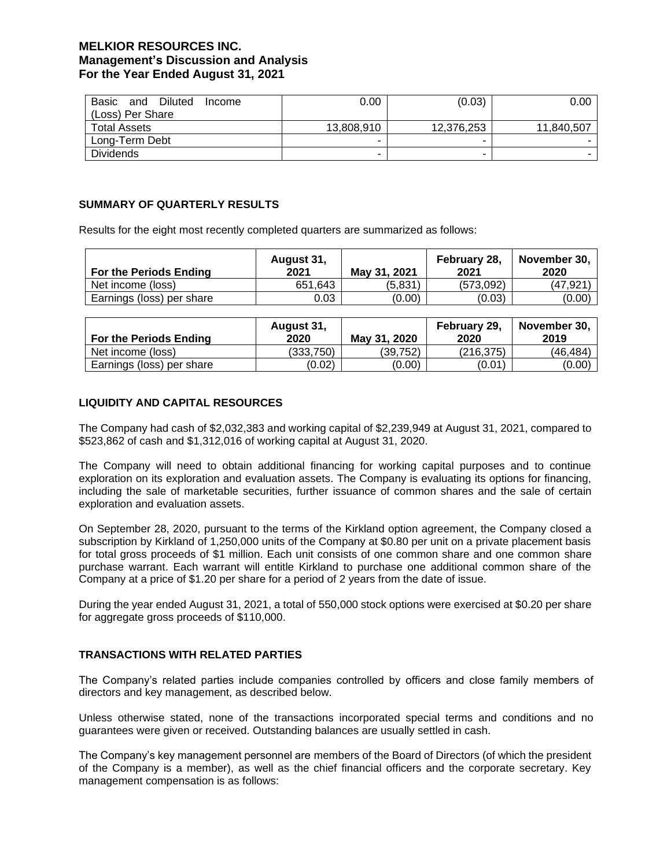| Diluted<br>Basic<br>and<br>Income | 0.00       | (0.03)     | 0.00       |
|-----------------------------------|------------|------------|------------|
| (Loss) Per Share                  |            |            |            |
| <b>Total Assets</b>               | 13,808,910 | 12,376,253 | 11,840,507 |
| Long-Term Debt                    | -          |            |            |
| <b>Dividends</b>                  | -          |            |            |

## **SUMMARY OF QUARTERLY RESULTS**

Results for the eight most recently completed quarters are summarized as follows:

| <b>For the Periods Ending</b> | August 31,<br>2021 | May 31, 2021 | February 28,<br>2021 | November 30.<br>2020 |
|-------------------------------|--------------------|--------------|----------------------|----------------------|
| Net income (loss)             | 651.643            | (5.831)      | (573.092)            | (47.921)             |
| ' Earnings (loss) per share   | 0.03               | (0.00)       | (0.03)               | (0.00)               |

| For the Periods Ending    | August 31,<br>2020 | May 31, 2020 | February 29,<br>2020 | November 30,<br>2019 |
|---------------------------|--------------------|--------------|----------------------|----------------------|
| Net income (loss)         | (333.750)          | (39.752)     | (216.375)            | (46,484)             |
| Earnings (loss) per share | (0.02)             | (0.00)       | (0.01)               | (0.00)               |

## **LIQUIDITY AND CAPITAL RESOURCES**

The Company had cash of \$2,032,383 and working capital of \$2,239,949 at August 31, 2021, compared to \$523,862 of cash and \$1,312,016 of working capital at August 31, 2020.

The Company will need to obtain additional financing for working capital purposes and to continue exploration on its exploration and evaluation assets. The Company is evaluating its options for financing, including the sale of marketable securities, further issuance of common shares and the sale of certain exploration and evaluation assets.

On September 28, 2020, pursuant to the terms of the Kirkland option agreement, the Company closed a subscription by Kirkland of 1,250,000 units of the Company at \$0.80 per unit on a private placement basis for total gross proceeds of \$1 million. Each unit consists of one common share and one common share purchase warrant. Each warrant will entitle Kirkland to purchase one additional common share of the Company at a price of \$1.20 per share for a period of 2 years from the date of issue.

During the year ended August 31, 2021, a total of 550,000 stock options were exercised at \$0.20 per share for aggregate gross proceeds of \$110,000.

### **TRANSACTIONS WITH RELATED PARTIES**

The Company's related parties include companies controlled by officers and close family members of directors and key management, as described below.

Unless otherwise stated, none of the transactions incorporated special terms and conditions and no guarantees were given or received. Outstanding balances are usually settled in cash.

The Company's key management personnel are members of the Board of Directors (of which the president of the Company is a member), as well as the chief financial officers and the corporate secretary. Key management compensation is as follows: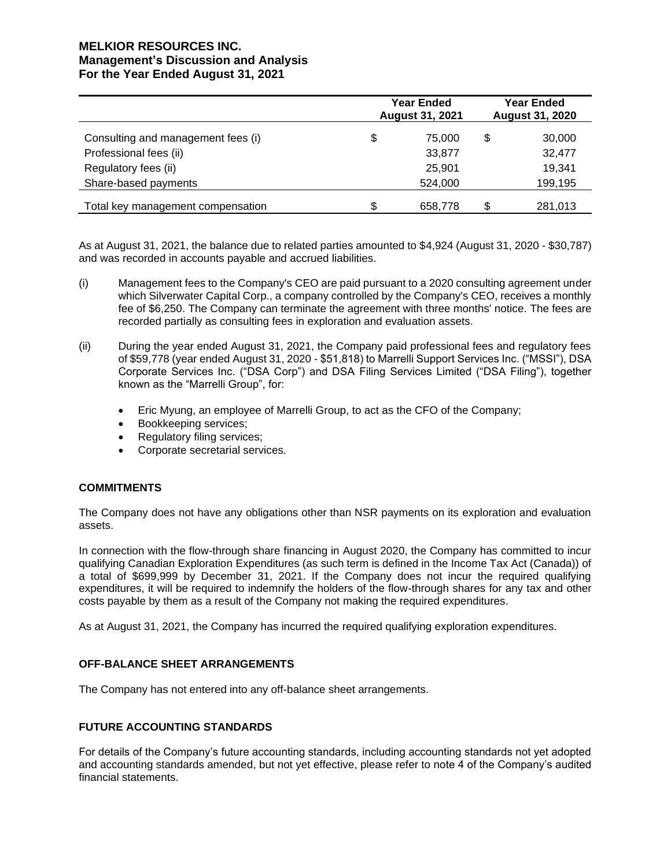|                                    | <b>Year Ended</b><br><b>August 31, 2021</b> | <b>Year Ended</b><br><b>August 31, 2020</b> |         |
|------------------------------------|---------------------------------------------|---------------------------------------------|---------|
| Consulting and management fees (i) | \$<br>75,000                                | \$                                          | 30,000  |
| Professional fees (ii)             | 33,877                                      |                                             | 32,477  |
| Regulatory fees (ii)               | 25,901                                      |                                             | 19.341  |
| Share-based payments               | 524,000                                     |                                             | 199,195 |
| Total key management compensation  | 658,778                                     | S                                           | 281,013 |

As at August 31, 2021, the balance due to related parties amounted to \$4,924 (August 31, 2020 - \$30,787) and was recorded in accounts payable and accrued liabilities.

- (i) Management fees to the Company's CEO are paid pursuant to a 2020 consulting agreement under which Silverwater Capital Corp., a company controlled by the Company's CEO, receives a monthly fee of \$6,250. The Company can terminate the agreement with three months' notice. The fees are recorded partially as consulting fees in exploration and evaluation assets.
- (ii) During the year ended August 31, 2021, the Company paid professional fees and regulatory fees of \$59,778 (year ended August 31, 2020 - \$51,818) to Marrelli Support Services Inc. ("MSSI"), DSA Corporate Services Inc. ("DSA Corp") and DSA Filing Services Limited ("DSA Filing"), together known as the "Marrelli Group", for:
	- Eric Myung, an employee of Marrelli Group, to act as the CFO of the Company;
	- Bookkeeping services;
	- Regulatory filing services;
	- Corporate secretarial services.

### **COMMITMENTS**

The Company does not have any obligations other than NSR payments on its exploration and evaluation assets.

In connection with the flow-through share financing in August 2020, the Company has committed to incur qualifying Canadian Exploration Expenditures (as such term is defined in the Income Tax Act (Canada)) of a total of \$699,999 by December 31, 2021. If the Company does not incur the required qualifying expenditures, it will be required to indemnify the holders of the flow-through shares for any tax and other costs payable by them as a result of the Company not making the required expenditures.

As at August 31, 2021, the Company has incurred the required qualifying exploration expenditures.

### **OFF-BALANCE SHEET ARRANGEMENTS**

The Company has not entered into any off-balance sheet arrangements.

## **FUTURE ACCOUNTING STANDARDS**

For details of the Company's future accounting standards, including accounting standards not yet adopted and accounting standards amended, but not yet effective, please refer to note 4 of the Company's audited financial statements.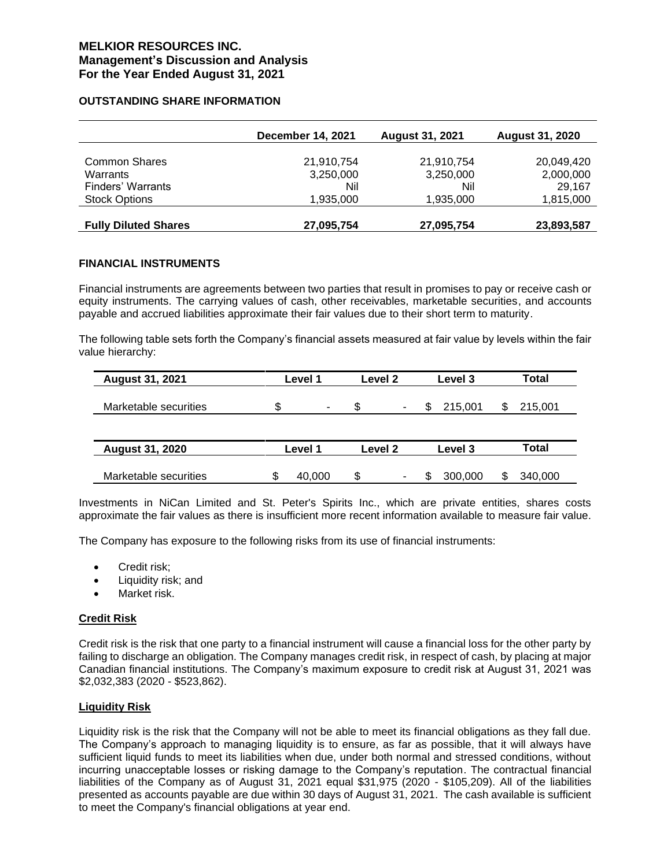## **OUTSTANDING SHARE INFORMATION**

|                             | <b>December 14, 2021</b> | <b>August 31, 2021</b> | <b>August 31, 2020</b> |
|-----------------------------|--------------------------|------------------------|------------------------|
|                             |                          |                        |                        |
| <b>Common Shares</b>        | 21,910,754               | 21,910,754             | 20,049,420             |
| Warrants                    | 3,250,000                | 3,250,000              | 2,000,000              |
| Finders' Warrants           | Nil                      | Nil                    | 29,167                 |
| <b>Stock Options</b>        | 1,935,000                | 1,935,000              | 1,815,000              |
| <b>Fully Diluted Shares</b> | 27,095,754               | 27,095,754             | 23,893,587             |

#### **FINANCIAL INSTRUMENTS**

Financial instruments are agreements between two parties that result in promises to pay or receive cash or equity instruments. The carrying values of cash, other receivables, marketable securities, and accounts payable and accrued liabilities approximate their fair values due to their short term to maturity.

The following table sets forth the Company's financial assets measured at fair value by levels within the fair value hierarchy:

| <b>August 31, 2021</b> | Level 1 |         | Level 2 |                | Level 3 | Total         |  |
|------------------------|---------|---------|---------|----------------|---------|---------------|--|
| Marketable securities  | \$      | ٠       | S       | $\blacksquare$ | 215.001 | 215,001<br>\$ |  |
| <b>August 31, 2020</b> |         | Level 1 | Level 2 |                | Level 3 | Total         |  |
| Marketable securities  | S       | 40,000  | \$      | ۰              | 300,000 | 340,000       |  |

Investments in NiCan Limited and St. Peter's Spirits Inc., which are private entities, shares costs approximate the fair values as there is insufficient more recent information available to measure fair value.

The Company has exposure to the following risks from its use of financial instruments:

- Credit risk;
- Liquidity risk; and
- Market risk.

### **Credit Risk**

Credit risk is the risk that one party to a financial instrument will cause a financial loss for the other party by failing to discharge an obligation. The Company manages credit risk, in respect of cash, by placing at major Canadian financial institutions. The Company's maximum exposure to credit risk at August 31, 2021 was \$2,032,383 (2020 - \$523,862).

### **Liquidity Risk**

Liquidity risk is the risk that the Company will not be able to meet its financial obligations as they fall due. The Company's approach to managing liquidity is to ensure, as far as possible, that it will always have sufficient liquid funds to meet its liabilities when due, under both normal and stressed conditions, without incurring unacceptable losses or risking damage to the Company's reputation. The contractual financial liabilities of the Company as of August 31, 2021 equal \$31,975 (2020 - \$105,209). All of the liabilities presented as accounts payable are due within 30 days of August 31, 2021. The cash available is sufficient to meet the Company's financial obligations at year end.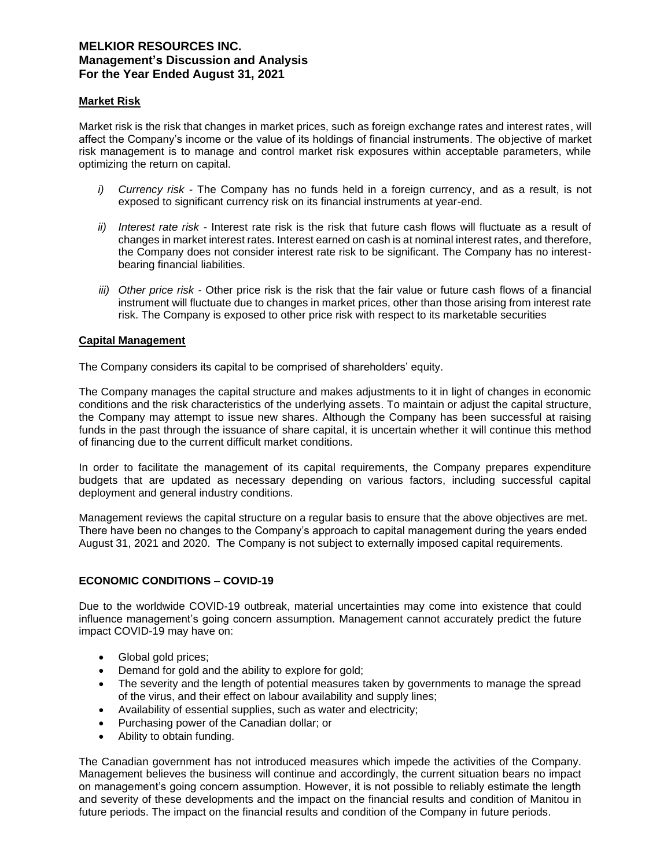## **Market Risk**

Market risk is the risk that changes in market prices, such as foreign exchange rates and interest rates, will affect the Company's income or the value of its holdings of financial instruments. The objective of market risk management is to manage and control market risk exposures within acceptable parameters, while optimizing the return on capital.

- *i) Currency risk -* The Company has no funds held in a foreign currency, and as a result, is not exposed to significant currency risk on its financial instruments at year-end.
- *ii) Interest rate risk -* Interest rate risk is the risk that future cash flows will fluctuate as a result of changes in market interest rates. Interest earned on cash is at nominal interest rates, and therefore, the Company does not consider interest rate risk to be significant. The Company has no interestbearing financial liabilities.
- *iii) Other price risk -* Other price risk is the risk that the fair value or future cash flows of a financial instrument will fluctuate due to changes in market prices, other than those arising from interest rate risk. The Company is exposed to other price risk with respect to its marketable securities

## **Capital Management**

The Company considers its capital to be comprised of shareholders' equity.

The Company manages the capital structure and makes adjustments to it in light of changes in economic conditions and the risk characteristics of the underlying assets. To maintain or adjust the capital structure, the Company may attempt to issue new shares. Although the Company has been successful at raising funds in the past through the issuance of share capital, it is uncertain whether it will continue this method of financing due to the current difficult market conditions.

In order to facilitate the management of its capital requirements, the Company prepares expenditure budgets that are updated as necessary depending on various factors, including successful capital deployment and general industry conditions.

Management reviews the capital structure on a regular basis to ensure that the above objectives are met. There have been no changes to the Company's approach to capital management during the years ended August 31, 2021 and 2020. The Company is not subject to externally imposed capital requirements.

### **ECONOMIC CONDITIONS – COVID-19**

Due to the worldwide COVID-19 outbreak, material uncertainties may come into existence that could influence management's going concern assumption. Management cannot accurately predict the future impact COVID-19 may have on:

- Global gold prices;
- Demand for gold and the ability to explore for gold;
- The severity and the length of potential measures taken by governments to manage the spread of the virus, and their effect on labour availability and supply lines;
- Availability of essential supplies, such as water and electricity;
- Purchasing power of the Canadian dollar; or
- Ability to obtain funding.

The Canadian government has not introduced measures which impede the activities of the Company. Management believes the business will continue and accordingly, the current situation bears no impact on management's going concern assumption. However, it is not possible to reliably estimate the length and severity of these developments and the impact on the financial results and condition of Manitou in future periods. The impact on the financial results and condition of the Company in future periods.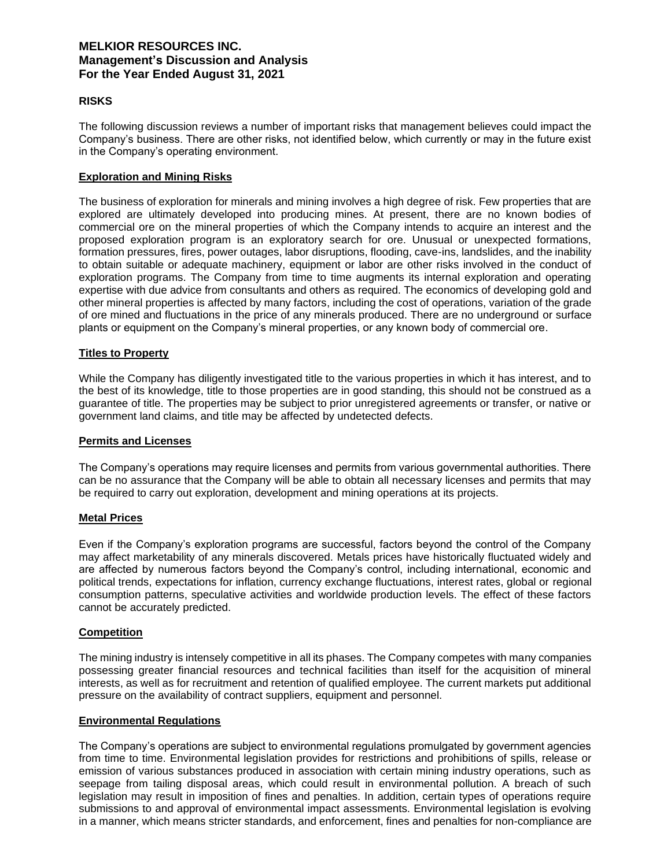## **RISKS**

The following discussion reviews a number of important risks that management believes could impact the Company's business. There are other risks, not identified below, which currently or may in the future exist in the Company's operating environment.

### **Exploration and Mining Risks**

The business of exploration for minerals and mining involves a high degree of risk. Few properties that are explored are ultimately developed into producing mines. At present, there are no known bodies of commercial ore on the mineral properties of which the Company intends to acquire an interest and the proposed exploration program is an exploratory search for ore. Unusual or unexpected formations, formation pressures, fires, power outages, labor disruptions, flooding, cave-ins, landslides, and the inability to obtain suitable or adequate machinery, equipment or labor are other risks involved in the conduct of exploration programs. The Company from time to time augments its internal exploration and operating expertise with due advice from consultants and others as required. The economics of developing gold and other mineral properties is affected by many factors, including the cost of operations, variation of the grade of ore mined and fluctuations in the price of any minerals produced. There are no underground or surface plants or equipment on the Company's mineral properties, or any known body of commercial ore.

### **Titles to Property**

While the Company has diligently investigated title to the various properties in which it has interest, and to the best of its knowledge, title to those properties are in good standing, this should not be construed as a guarantee of title. The properties may be subject to prior unregistered agreements or transfer, or native or government land claims, and title may be affected by undetected defects.

### **Permits and Licenses**

The Company's operations may require licenses and permits from various governmental authorities. There can be no assurance that the Company will be able to obtain all necessary licenses and permits that may be required to carry out exploration, development and mining operations at its projects.

### **Metal Prices**

Even if the Company's exploration programs are successful, factors beyond the control of the Company may affect marketability of any minerals discovered. Metals prices have historically fluctuated widely and are affected by numerous factors beyond the Company's control, including international, economic and political trends, expectations for inflation, currency exchange fluctuations, interest rates, global or regional consumption patterns, speculative activities and worldwide production levels. The effect of these factors cannot be accurately predicted.

### **Competition**

The mining industry is intensely competitive in all its phases. The Company competes with many companies possessing greater financial resources and technical facilities than itself for the acquisition of mineral interests, as well as for recruitment and retention of qualified employee. The current markets put additional pressure on the availability of contract suppliers, equipment and personnel.

### **Environmental Regulations**

The Company's operations are subject to environmental regulations promulgated by government agencies from time to time. Environmental legislation provides for restrictions and prohibitions of spills, release or emission of various substances produced in association with certain mining industry operations, such as seepage from tailing disposal areas, which could result in environmental pollution. A breach of such legislation may result in imposition of fines and penalties. In addition, certain types of operations require submissions to and approval of environmental impact assessments. Environmental legislation is evolving in a manner, which means stricter standards, and enforcement, fines and penalties for non-compliance are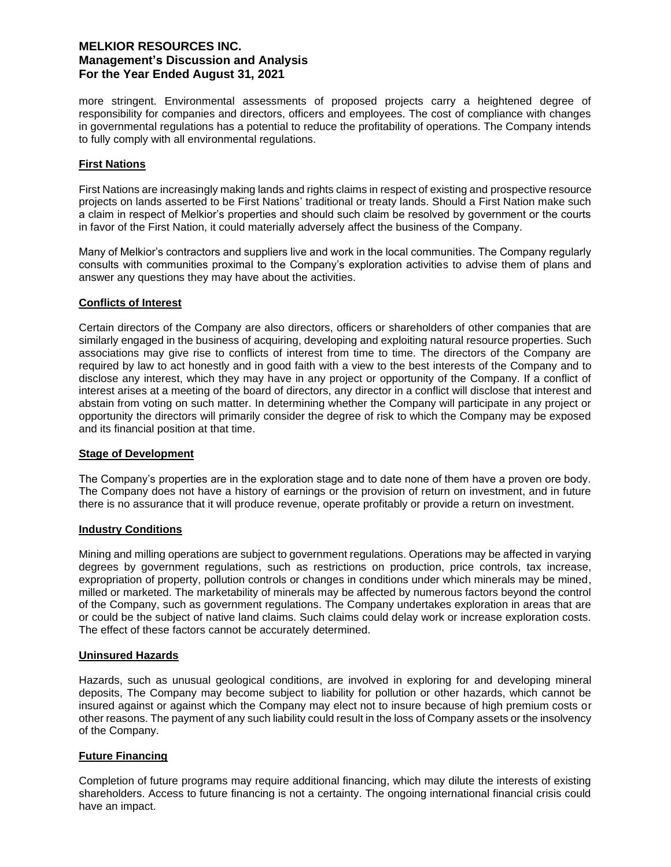more stringent. Environmental assessments of proposed projects carry a heightened degree of responsibility for companies and directors, officers and employees. The cost of compliance with changes in governmental regulations has a potential to reduce the profitability of operations. The Company intends to fully comply with all environmental regulations.

## **First Nations**

First Nations are increasingly making lands and rights claims in respect of existing and prospective resource projects on lands asserted to be First Nations' traditional or treaty lands. Should a First Nation make such a claim in respect of Melkior's properties and should such claim be resolved by government or the courts in favor of the First Nation, it could materially adversely affect the business of the Company.

Many of Melkior's contractors and suppliers live and work in the local communities. The Company regularly consults with communities proximal to the Company's exploration activities to advise them of plans and answer any questions they may have about the activities.

## **Conflicts of Interest**

Certain directors of the Company are also directors, officers or shareholders of other companies that are similarly engaged in the business of acquiring, developing and exploiting natural resource properties. Such associations may give rise to conflicts of interest from time to time. The directors of the Company are required by law to act honestly and in good faith with a view to the best interests of the Company and to disclose any interest, which they may have in any project or opportunity of the Company. If a conflict of interest arises at a meeting of the board of directors, any director in a conflict will disclose that interest and abstain from voting on such matter. In determining whether the Company will participate in any project or opportunity the directors will primarily consider the degree of risk to which the Company may be exposed and its financial position at that time.

### **Stage of Development**

The Company's properties are in the exploration stage and to date none of them have a proven ore body. The Company does not have a history of earnings or the provision of return on investment, and in future there is no assurance that it will produce revenue, operate profitably or provide a return on investment.

### **Industry Conditions**

Mining and milling operations are subject to government regulations. Operations may be affected in varying degrees by government regulations, such as restrictions on production, price controls, tax increase, expropriation of property, pollution controls or changes in conditions under which minerals may be mined, milled or marketed. The marketability of minerals may be affected by numerous factors beyond the control of the Company, such as government regulations. The Company undertakes exploration in areas that are or could be the subject of native land claims. Such claims could delay work or increase exploration costs. The effect of these factors cannot be accurately determined.

### **Uninsured Hazards**

Hazards, such as unusual geological conditions, are involved in exploring for and developing mineral deposits, The Company may become subject to liability for pollution or other hazards, which cannot be insured against or against which the Company may elect not to insure because of high premium costs or other reasons. The payment of any such liability could result in the loss of Company assets or the insolvency of the Company.

### **Future Financing**

Completion of future programs may require additional financing, which may dilute the interests of existing shareholders. Access to future financing is not a certainty. The ongoing international financial crisis could have an impact.